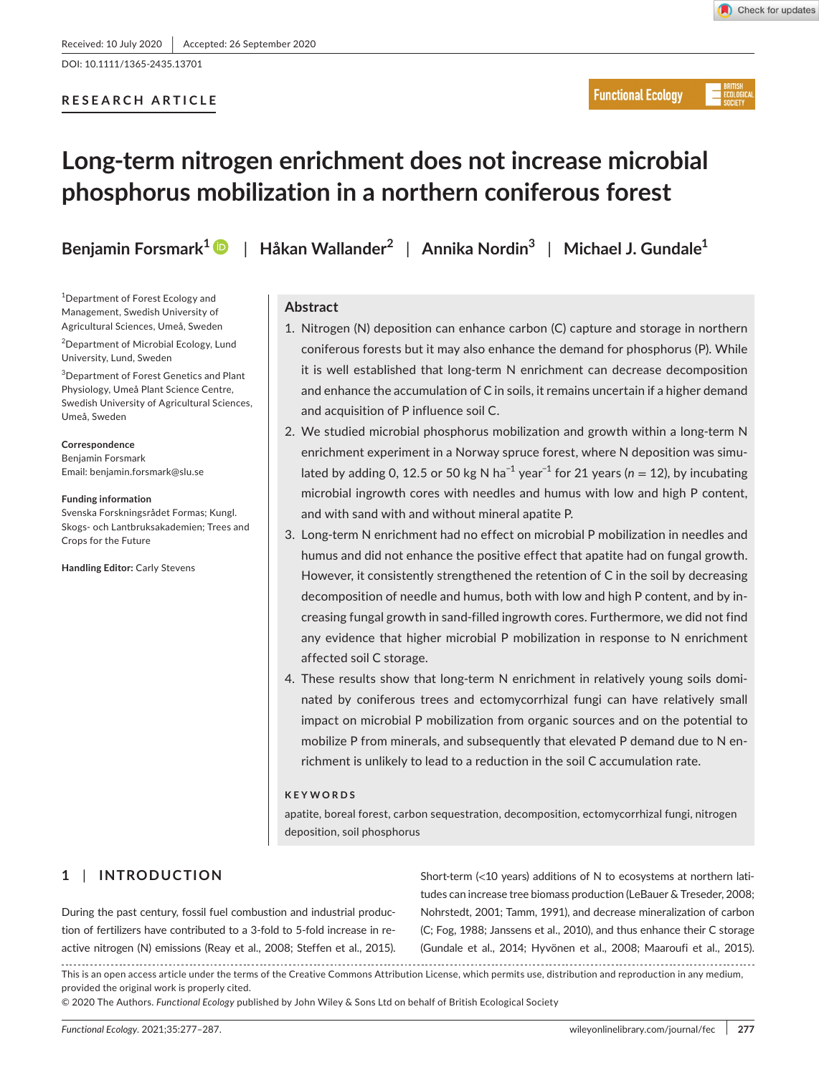DOI: 10.1111/1365-2435.13701

## **RESEARCH ARTICLE**



**Functional Ecology** 

# **Long-term nitrogen enrichment does not increase microbial phosphorus mobilization in a northern coniferous forest**

**Benjamin Forsmark<sup>1</sup>** | **Håkan Wallander<sup>2</sup>** | **Annika Nordin<sup>3</sup>** | **Michael J. Gundale<sup>1</sup>**

<sup>1</sup>Department of Forest Ecology and Management, Swedish University of Agricultural Sciences, Umeå, Sweden <sup>2</sup>Department of Microbial Ecology, Lund

3 Department of Forest Genetics and Plant Physiology, Umeå Plant Science Centre, Swedish University of Agricultural Sciences,

University, Lund, Sweden

Email: [benjamin.forsmark@slu.se](mailto:benjamin.forsmark@slu.se)

**Handling Editor:** Carly Stevens

Svenska Forskningsrådet Formas; Kungl. Skogs- och Lantbruksakademien; Trees and

Umeå, Sweden

**Correspondence** Benjamin Forsmark

**Funding information**

Crops for the Future

**Abstract**

- 1. Nitrogen (N) deposition can enhance carbon (C) capture and storage in northern coniferous forests but it may also enhance the demand for phosphorus (P). While it is well established that long-term N enrichment can decrease decomposition and enhance the accumulation of C in soils, it remains uncertain if a higher demand and acquisition of P influence soil C.
- 2. We studied microbial phosphorus mobilization and growth within a long-term N enrichment experiment in a Norway spruce forest, where N deposition was simulated by adding 0, 12.5 or 50 kg N ha−1 year−1 for 21 years (*n* = 12), by incubating microbial ingrowth cores with needles and humus with low and high P content, and with sand with and without mineral apatite P.
- 3. Long-term N enrichment had no effect on microbial P mobilization in needles and humus and did not enhance the positive effect that apatite had on fungal growth. However, it consistently strengthened the retention of C in the soil by decreasing decomposition of needle and humus, both with low and high P content, and by increasing fungal growth in sand-filled ingrowth cores. Furthermore, we did not find any evidence that higher microbial P mobilization in response to N enrichment affected soil C storage.
- 4. These results show that long-term N enrichment in relatively young soils dominated by coniferous trees and ectomycorrhizal fungi can have relatively small impact on microbial P mobilization from organic sources and on the potential to mobilize P from minerals, and subsequently that elevated P demand due to N enrichment is unlikely to lead to a reduction in the soil C accumulation rate.

#### **KEYWORDS**

apatite, boreal forest, carbon sequestration, decomposition, ectomycorrhizal fungi, nitrogen deposition, soil phosphorus

# **1** | **INTRODUCTION**

During the past century, fossil fuel combustion and industrial production of fertilizers have contributed to a 3-fold to 5-fold increase in reactive nitrogen (N) emissions (Reay et al., 2008; Steffen et al., 2015). Short-term (<10 years) additions of N to ecosystems at northern latitudes can increase tree biomass production (LeBauer & Treseder, 2008; Nohrstedt, 2001; Tamm, 1991), and decrease mineralization of carbon (C; Fog, 1988; Janssens et al., 2010), and thus enhance their C storage (Gundale et al., 2014; Hyvönen et al., 2008; Maaroufi et al., 2015).

This is an open access article under the terms of the [Creative Commons Attribution](http://creativecommons.org/licenses/by/4.0/) License, which permits use, distribution and reproduction in any medium, provided the original work is properly cited.

© 2020 The Authors. *Functional Ecology* published by John Wiley & Sons Ltd on behalf of British Ecological Society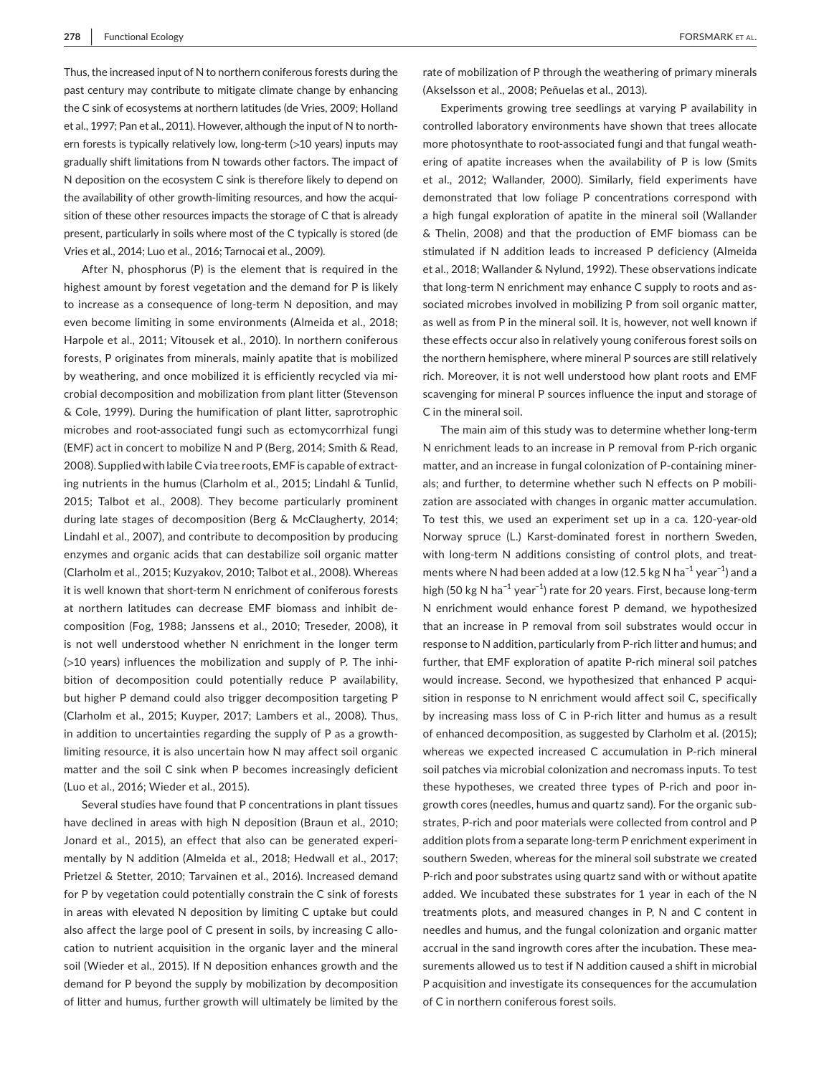Thus, the increased input of N to northern coniferous forests during the past century may contribute to mitigate climate change by enhancing the C sink of ecosystems at northern latitudes (de Vries, 2009; Holland et al., 1997; Pan et al., 2011). However, although the input of N to northern forests is typically relatively low, long-term (>10 years) inputs may gradually shift limitations from N towards other factors. The impact of N deposition on the ecosystem C sink is therefore likely to depend on the availability of other growth-limiting resources, and how the acquisition of these other resources impacts the storage of C that is already present, particularly in soils where most of the C typically is stored (de Vries et al., 2014; Luo et al., 2016; Tarnocai et al., 2009).

After N, phosphorus (P) is the element that is required in the highest amount by forest vegetation and the demand for P is likely to increase as a consequence of long-term N deposition, and may even become limiting in some environments (Almeida et al., 2018; Harpole et al., 2011; Vitousek et al., 2010). In northern coniferous forests, P originates from minerals, mainly apatite that is mobilized by weathering, and once mobilized it is efficiently recycled via microbial decomposition and mobilization from plant litter (Stevenson & Cole, 1999). During the humification of plant litter, saprotrophic microbes and root-associated fungi such as ectomycorrhizal fungi (EMF) act in concert to mobilize N and P (Berg, 2014; Smith & Read, 2008). Supplied with labile C via tree roots, EMF is capable of extracting nutrients in the humus (Clarholm et al., 2015; Lindahl & Tunlid, 2015; Talbot et al., 2008). They become particularly prominent during late stages of decomposition (Berg & McClaugherty, 2014; Lindahl et al., 2007), and contribute to decomposition by producing enzymes and organic acids that can destabilize soil organic matter (Clarholm et al., 2015; Kuzyakov, 2010; Talbot et al., 2008). Whereas it is well known that short-term N enrichment of coniferous forests at northern latitudes can decrease EMF biomass and inhibit decomposition (Fog, 1988; Janssens et al., 2010; Treseder, 2008), it is not well understood whether N enrichment in the longer term (>10 years) influences the mobilization and supply of P. The inhibition of decomposition could potentially reduce P availability, but higher P demand could also trigger decomposition targeting P (Clarholm et al., 2015; Kuyper, 2017; Lambers et al., 2008). Thus, in addition to uncertainties regarding the supply of P as a growthlimiting resource, it is also uncertain how N may affect soil organic matter and the soil C sink when P becomes increasingly deficient (Luo et al., 2016; Wieder et al., 2015).

Several studies have found that P concentrations in plant tissues have declined in areas with high N deposition (Braun et al., 2010; Jonard et al., 2015), an effect that also can be generated experimentally by N addition (Almeida et al., 2018; Hedwall et al., 2017; Prietzel & Stetter, 2010; Tarvainen et al., 2016). Increased demand for P by vegetation could potentially constrain the C sink of forests in areas with elevated N deposition by limiting C uptake but could also affect the large pool of C present in soils, by increasing C allocation to nutrient acquisition in the organic layer and the mineral soil (Wieder et al., 2015). If N deposition enhances growth and the demand for P beyond the supply by mobilization by decomposition of litter and humus, further growth will ultimately be limited by the

rate of mobilization of P through the weathering of primary minerals (Akselsson et al., 2008; Peñuelas et al., 2013).

Experiments growing tree seedlings at varying P availability in controlled laboratory environments have shown that trees allocate more photosynthate to root-associated fungi and that fungal weathering of apatite increases when the availability of P is low (Smits et al., 2012; Wallander, 2000). Similarly, field experiments have demonstrated that low foliage P concentrations correspond with a high fungal exploration of apatite in the mineral soil (Wallander & Thelin, 2008) and that the production of EMF biomass can be stimulated if N addition leads to increased P deficiency (Almeida et al., 2018; Wallander & Nylund, 1992). These observations indicate that long-term N enrichment may enhance C supply to roots and associated microbes involved in mobilizing P from soil organic matter, as well as from P in the mineral soil. It is, however, not well known if these effects occur also in relatively young coniferous forest soils on the northern hemisphere, where mineral P sources are still relatively rich. Moreover, it is not well understood how plant roots and EMF scavenging for mineral P sources influence the input and storage of C in the mineral soil.

The main aim of this study was to determine whether long-term N enrichment leads to an increase in P removal from P-rich organic matter, and an increase in fungal colonization of P-containing minerals; and further, to determine whether such N effects on P mobilization are associated with changes in organic matter accumulation. To test this, we used an experiment set up in a ca. 120-year-old Norway spruce (L.) Karst-dominated forest in northern Sweden, with long-term N additions consisting of control plots, and treatments where N had been added at a low (12.5 kg N ha<sup>-1</sup> year<sup>-1</sup>) and a high (50 kg N ha<sup>-1</sup> year<sup>-1</sup>) rate for 20 years. First, because long-term N enrichment would enhance forest P demand, we hypothesized that an increase in P removal from soil substrates would occur in response to N addition, particularly from P-rich litter and humus; and further, that EMF exploration of apatite P-rich mineral soil patches would increase. Second, we hypothesized that enhanced P acquisition in response to N enrichment would affect soil C, specifically by increasing mass loss of C in P-rich litter and humus as a result of enhanced decomposition, as suggested by Clarholm et al. (2015); whereas we expected increased C accumulation in P-rich mineral soil patches via microbial colonization and necromass inputs. To test these hypotheses, we created three types of P-rich and poor ingrowth cores (needles, humus and quartz sand). For the organic substrates, P-rich and poor materials were collected from control and P addition plots from a separate long-term P enrichment experiment in southern Sweden, whereas for the mineral soil substrate we created P-rich and poor substrates using quartz sand with or without apatite added. We incubated these substrates for 1 year in each of the N treatments plots, and measured changes in P, N and C content in needles and humus, and the fungal colonization and organic matter accrual in the sand ingrowth cores after the incubation. These measurements allowed us to test if N addition caused a shift in microbial P acquisition and investigate its consequences for the accumulation of C in northern coniferous forest soils.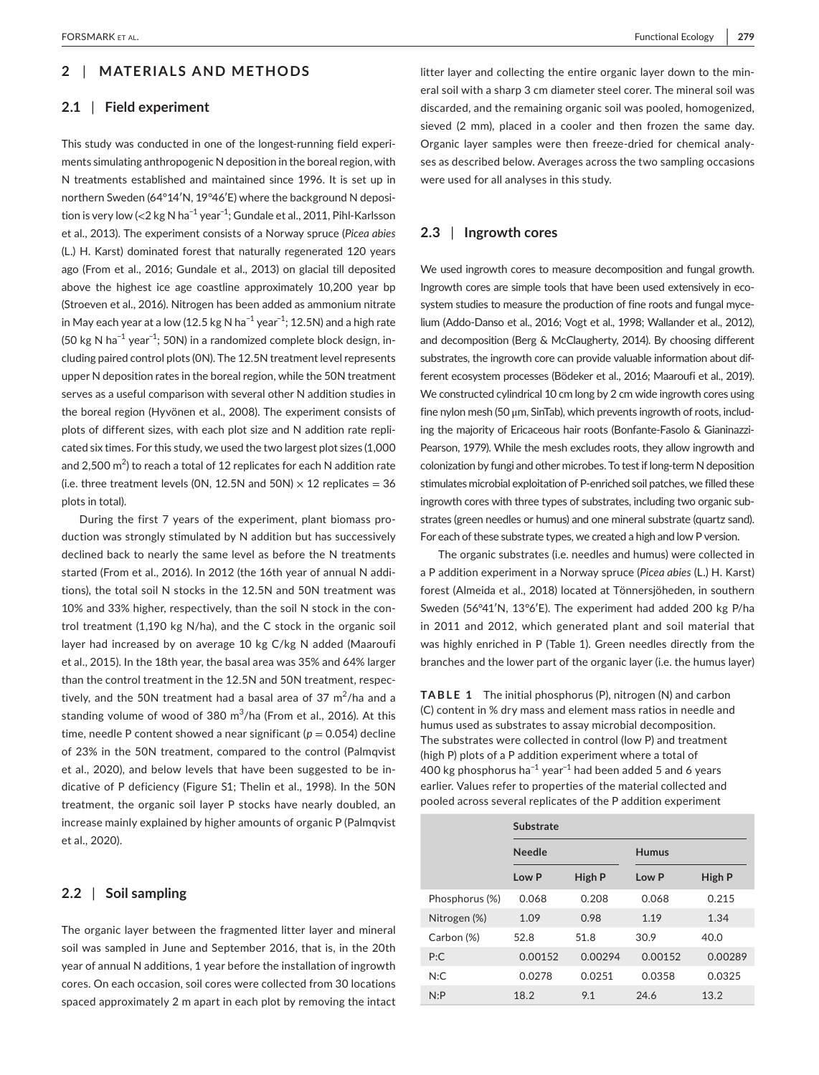## **2** | **MATERIALS AND METHODS**

#### **2.1** | **Field experiment**

This study was conducted in one of the longest-running field experiments simulating anthropogenic N deposition in the boreal region, with N treatments established and maintained since 1996. It is set up in northern Sweden (64°14′N, 19°46′E) where the background N deposition is very low (<2 kg N ha−1 year−1; Gundale et al., 2011, Pihl-Karlsson et al., 2013). The experiment consists of a Norway spruce (*Picea abies* (L.) H. Karst) dominated forest that naturally regenerated 120 years ago (From et al., 2016; Gundale et al., 2013) on glacial till deposited above the highest ice age coastline approximately 10,200 year bp (Stroeven et al., 2016). Nitrogen has been added as ammonium nitrate in May each year at a low (12.5 kg N ha<sup>-1</sup> year<sup>-1</sup>; 12.5N) and a high rate (50 kg N ha<sup>-1</sup> year<sup>-1</sup>; 50N) in a randomized complete block design, including paired control plots (0N). The 12.5N treatment level represents upper N deposition rates in the boreal region, while the 50N treatment serves as a useful comparison with several other N addition studies in the boreal region (Hyvönen et al., 2008). The experiment consists of plots of different sizes, with each plot size and N addition rate replicated six times. For this study, we used the two largest plot sizes (1,000 and 2,500 m $^2$ ) to reach a total of 12 replicates for each N addition rate (i.e. three treatment levels (ON, 12.5N and 50N)  $\times$  12 replicates = 36 plots in total).

During the first 7 years of the experiment, plant biomass production was strongly stimulated by N addition but has successively declined back to nearly the same level as before the N treatments started (From et al., 2016). In 2012 (the 16th year of annual N additions), the total soil N stocks in the 12.5N and 50N treatment was 10% and 33% higher, respectively, than the soil N stock in the control treatment (1,190 kg N/ha), and the C stock in the organic soil layer had increased by on average 10 kg C/kg N added (Maaroufi et al., 2015). In the 18th year, the basal area was 35% and 64% larger than the control treatment in the 12.5N and 50N treatment, respectively, and the 50N treatment had a basal area of 37  $\mathrm{m}^2/\mathrm{h}$ a and a standing volume of wood of 380 m<sup>3</sup>/ha (From et al., 2016). At this time, needle P content showed a near significant ( $p = 0.054$ ) decline of 23% in the 50N treatment, compared to the control (Palmqvist et al., 2020), and below levels that have been suggested to be indicative of P deficiency (Figure S1; Thelin et al., 1998). In the 50N treatment, the organic soil layer P stocks have nearly doubled, an increase mainly explained by higher amounts of organic P (Palmqvist et al., 2020).

## **2.2** | **Soil sampling**

The organic layer between the fragmented litter layer and mineral soil was sampled in June and September 2016, that is, in the 20th year of annual N additions, 1 year before the installation of ingrowth cores. On each occasion, soil cores were collected from 30 locations spaced approximately 2 m apart in each plot by removing the intact

litter layer and collecting the entire organic layer down to the mineral soil with a sharp 3 cm diameter steel corer. The mineral soil was discarded, and the remaining organic soil was pooled, homogenized, sieved (2 mm), placed in a cooler and then frozen the same day. Organic layer samples were then freeze-dried for chemical analyses as described below. Averages across the two sampling occasions were used for all analyses in this study.

## **2.3** | **Ingrowth cores**

We used ingrowth cores to measure decomposition and fungal growth. Ingrowth cores are simple tools that have been used extensively in ecosystem studies to measure the production of fine roots and fungal mycelium (Addo-Danso et al., 2016; Vogt et al., 1998; Wallander et al., 2012), and decomposition (Berg & McClaugherty, 2014). By choosing different substrates, the ingrowth core can provide valuable information about different ecosystem processes (Bödeker et al., 2016; Maaroufi et al., 2019). We constructed cylindrical 10 cm long by 2 cm wide ingrowth cores using fine nylon mesh (50 μm, SinTab), which prevents ingrowth of roots, including the majority of Ericaceous hair roots (Bonfante-Fasolo & Gianinazzi-Pearson, 1979). While the mesh excludes roots, they allow ingrowth and colonization by fungi and other microbes. To test if long-term N deposition stimulates microbial exploitation of P-enriched soil patches, we filled these ingrowth cores with three types of substrates, including two organic substrates (green needles or humus) and one mineral substrate (quartz sand). For each of these substrate types, we created a high and low P version.

The organic substrates (i.e. needles and humus) were collected in a P addition experiment in a Norway spruce (*Picea abies* (L.) H. Karst) forest (Almeida et al., 2018) located at Tönnersjöheden, in southern Sweden (56°41′N, 13°6′E). The experiment had added 200 kg P/ha in 2011 and 2012, which generated plant and soil material that was highly enriched in P (Table 1). Green needles directly from the branches and the lower part of the organic layer (i.e. the humus layer)

**TABLE 1** The initial phosphorus (P), nitrogen (N) and carbon (C) content in % dry mass and element mass ratios in needle and humus used as substrates to assay microbial decomposition. The substrates were collected in control (low P) and treatment (high P) plots of a P addition experiment where a total of 400 kg phosphorus ha<sup>-1</sup> year<sup>-1</sup> had been added 5 and 6 years earlier. Values refer to properties of the material collected and pooled across several replicates of the P addition experiment

|                | Substrate     |         |         |         |  |  |
|----------------|---------------|---------|---------|---------|--|--|
|                | <b>Needle</b> |         | Humus   |         |  |  |
|                | LowP          | High P  | Low P   | High P  |  |  |
| Phosphorus (%) | 0.068         | 0.208   | 0.068   | 0.215   |  |  |
| Nitrogen (%)   | 1.09          | 0.98    | 1.19    | 1.34    |  |  |
| Carbon (%)     | 52.8          | 51.8    | 30.9    | 40.0    |  |  |
| P:C            | 0.00152       | 0.00294 | 0.00152 | 0.00289 |  |  |
| N:C            | 0.0278        | 0.0251  | 0.0358  | 0.0325  |  |  |
| N: P           | 18.2          | 9.1     | 24.6    | 13.2    |  |  |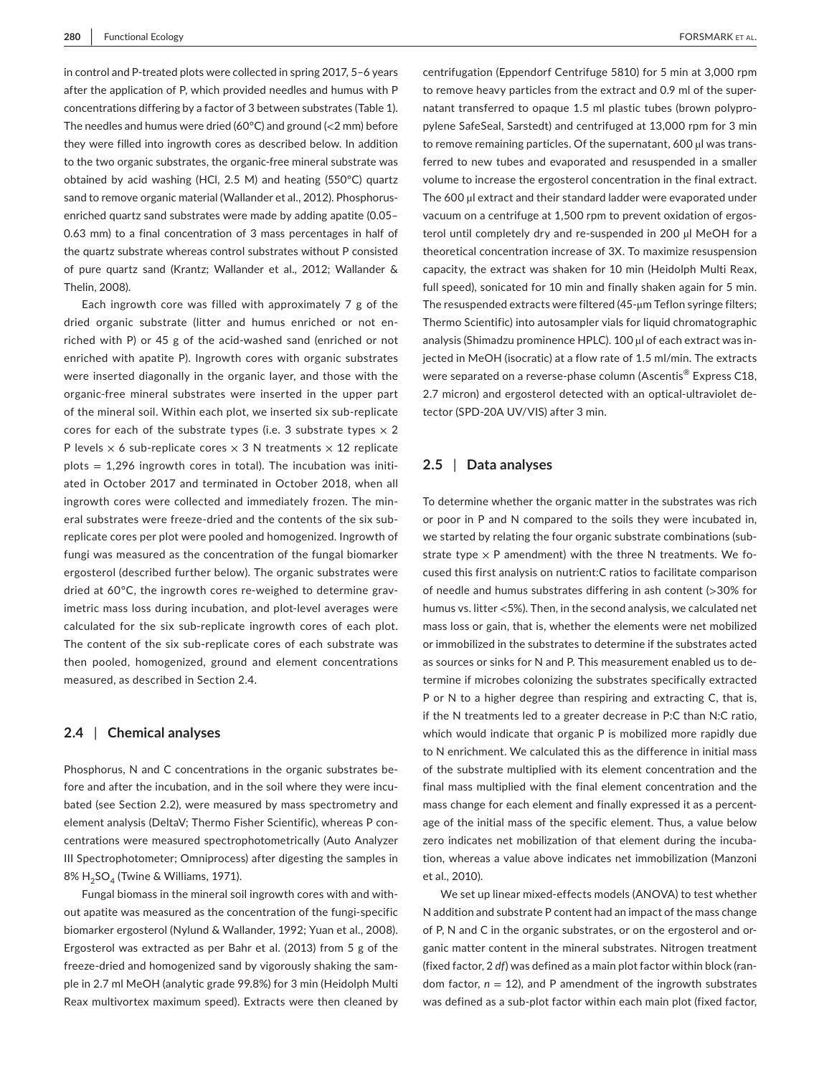in control and P-treated plots were collected in spring 2017, 5–6 years after the application of P, which provided needles and humus with P concentrations differing by a factor of 3 between substrates (Table 1). The needles and humus were dried (60°C) and ground (<2 mm) before they were filled into ingrowth cores as described below. In addition to the two organic substrates, the organic-free mineral substrate was obtained by acid washing (HCl, 2.5 M) and heating (550°C) quartz sand to remove organic material (Wallander et al., 2012). Phosphorusenriched quartz sand substrates were made by adding apatite (0.05– 0.63 mm) to a final concentration of 3 mass percentages in half of the quartz substrate whereas control substrates without P consisted of pure quartz sand (Krantz; Wallander et al., 2012; Wallander & Thelin, 2008).

Each ingrowth core was filled with approximately 7 g of the dried organic substrate (litter and humus enriched or not enriched with P) or 45 g of the acid-washed sand (enriched or not enriched with apatite P). Ingrowth cores with organic substrates were inserted diagonally in the organic layer, and those with the organic-free mineral substrates were inserted in the upper part of the mineral soil. Within each plot, we inserted six sub-replicate cores for each of the substrate types (i.e. 3 substrate types  $\times$  2 P levels  $\times$  6 sub-replicate cores  $\times$  3 N treatments  $\times$  12 replicate  $plots = 1,296$  ingrowth cores in total). The incubation was initiated in October 2017 and terminated in October 2018, when all ingrowth cores were collected and immediately frozen. The mineral substrates were freeze-dried and the contents of the six subreplicate cores per plot were pooled and homogenized. Ingrowth of fungi was measured as the concentration of the fungal biomarker ergosterol (described further below). The organic substrates were dried at 60°C, the ingrowth cores re-weighed to determine gravimetric mass loss during incubation, and plot-level averages were calculated for the six sub-replicate ingrowth cores of each plot. The content of the six sub-replicate cores of each substrate was then pooled, homogenized, ground and element concentrations measured, as described in Section 2.4.

## **2.4** | **Chemical analyses**

Phosphorus, N and C concentrations in the organic substrates before and after the incubation, and in the soil where they were incubated (see Section 2.2), were measured by mass spectrometry and element analysis (DeltaV; Thermo Fisher Scientific), whereas P concentrations were measured spectrophotometrically (Auto Analyzer III Spectrophotometer; Omniprocess) after digesting the samples in 8% H<sub>2</sub>SO<sub>4</sub> (Twine & Williams, 1971).

Fungal biomass in the mineral soil ingrowth cores with and without apatite was measured as the concentration of the fungi-specific biomarker ergosterol (Nylund & Wallander, 1992; Yuan et al., 2008). Ergosterol was extracted as per Bahr et al. (2013) from 5 g of the freeze-dried and homogenized sand by vigorously shaking the sample in 2.7 ml MeOH (analytic grade 99.8%) for 3 min (Heidolph Multi Reax multivortex maximum speed). Extracts were then cleaned by

centrifugation (Eppendorf Centrifuge 5810) for 5 min at 3,000 rpm to remove heavy particles from the extract and 0.9 ml of the supernatant transferred to opaque 1.5 ml plastic tubes (brown polypropylene SafeSeal, Sarstedt) and centrifuged at 13,000 rpm for 3 min to remove remaining particles. Of the supernatant, 600 µl was transferred to new tubes and evaporated and resuspended in a smaller volume to increase the ergosterol concentration in the final extract. The 600 µl extract and their standard ladder were evaporated under vacuum on a centrifuge at 1,500 rpm to prevent oxidation of ergosterol until completely dry and re-suspended in 200 µl MeOH for a theoretical concentration increase of 3X. To maximize resuspension capacity, the extract was shaken for 10 min (Heidolph Multi Reax, full speed), sonicated for 10 min and finally shaken again for 5 min. The resuspended extracts were filtered (45-µm Teflon syringe filters; Thermo Scientific) into autosampler vials for liquid chromatographic analysis (Shimadzu prominence HPLC). 100 µl of each extract was injected in MeOH (isocratic) at a flow rate of 1.5 ml/min. The extracts were separated on a reverse-phase column (Ascentis® Express C18, 2.7 micron) and ergosterol detected with an optical-ultraviolet detector (SPD-20A UV/VIS) after 3 min.

#### **2.5** | **Data analyses**

To determine whether the organic matter in the substrates was rich or poor in P and N compared to the soils they were incubated in, we started by relating the four organic substrate combinations (substrate type  $\times$  P amendment) with the three N treatments. We focused this first analysis on nutrient:C ratios to facilitate comparison of needle and humus substrates differing in ash content (>30% for humus vs. litter <5%). Then, in the second analysis, we calculated net mass loss or gain, that is, whether the elements were net mobilized or immobilized in the substrates to determine if the substrates acted as sources or sinks for N and P. This measurement enabled us to determine if microbes colonizing the substrates specifically extracted P or N to a higher degree than respiring and extracting C, that is, if the N treatments led to a greater decrease in P:C than N:C ratio, which would indicate that organic P is mobilized more rapidly due to N enrichment. We calculated this as the difference in initial mass of the substrate multiplied with its element concentration and the final mass multiplied with the final element concentration and the mass change for each element and finally expressed it as a percentage of the initial mass of the specific element. Thus, a value below zero indicates net mobilization of that element during the incubation, whereas a value above indicates net immobilization (Manzoni et al., 2010).

We set up linear mixed-effects models (ANOVA) to test whether N addition and substrate P content had an impact of the mass change of P, N and C in the organic substrates, or on the ergosterol and organic matter content in the mineral substrates. Nitrogen treatment (fixed factor, 2 *df*) was defined as a main plot factor within block (random factor,  $n = 12$ ), and P amendment of the ingrowth substrates was defined as a sub-plot factor within each main plot (fixed factor,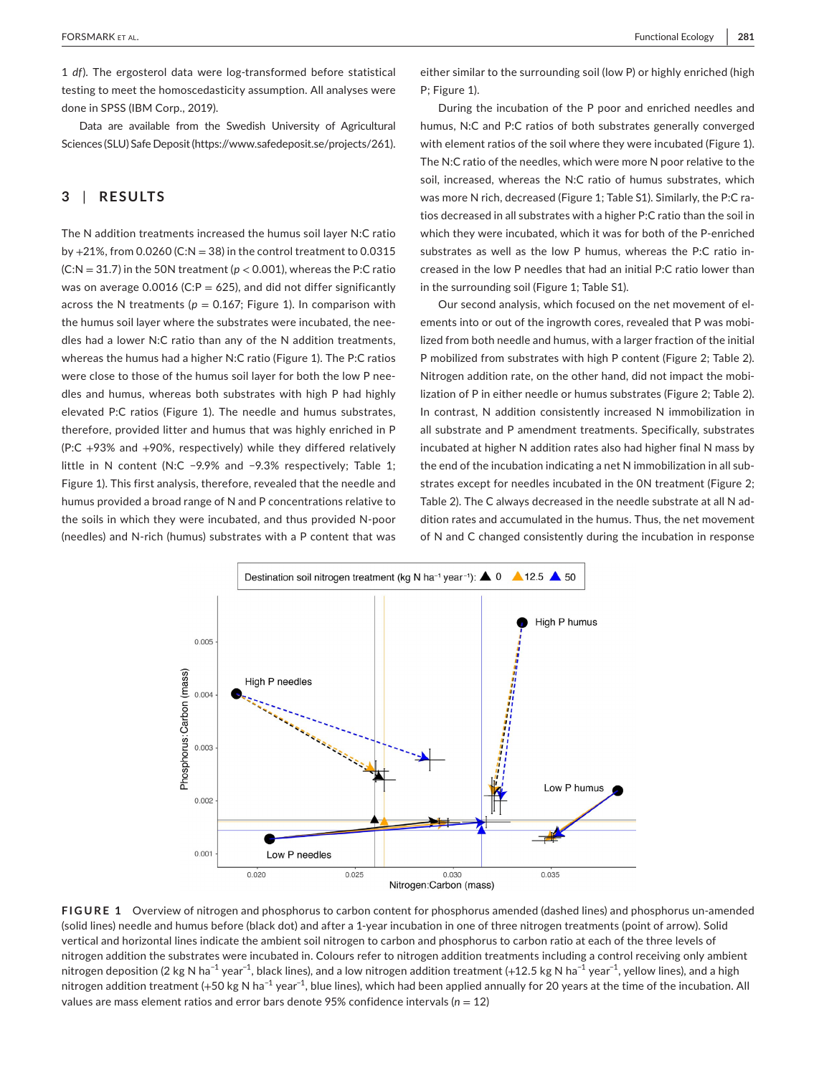1 *df*). The ergosterol data were log-transformed before statistical testing to meet the homoscedasticity assumption. All analyses were done in SPSS (IBM Corp., 2019).

Data are available from the Swedish University of Agricultural Sciences (SLU) Safe Deposit ([https://www.safedeposit.se/projects/261\)](https://www.safedeposit.se/projects/261).

## **3** | **RESULTS**

The N addition treatments increased the humus soil layer N:C ratio by  $+21\%$ , from 0.0260 (C:N = 38) in the control treatment to 0.0315  $(C:N = 31.7)$  in the 50N treatment ( $p < 0.001$ ), whereas the P:C ratio was on average 0.0016 (C: $P = 625$ ), and did not differ significantly across the N treatments ( $p = 0.167$ ; Figure 1). In comparison with the humus soil layer where the substrates were incubated, the needles had a lower N:C ratio than any of the N addition treatments, whereas the humus had a higher N:C ratio (Figure 1). The P:C ratios were close to those of the humus soil layer for both the low P needles and humus, whereas both substrates with high P had highly elevated P:C ratios (Figure 1). The needle and humus substrates, therefore, provided litter and humus that was highly enriched in P (P:C +93% and +90%, respectively) while they differed relatively little in N content (N:C −9.9% and −9.3% respectively; Table 1; Figure 1). This first analysis, therefore, revealed that the needle and humus provided a broad range of N and P concentrations relative to the soils in which they were incubated, and thus provided N-poor (needles) and N-rich (humus) substrates with a P content that was either similar to the surrounding soil (low P) or highly enriched (high P; Figure 1).

During the incubation of the P poor and enriched needles and humus, N:C and P:C ratios of both substrates generally converged with element ratios of the soil where they were incubated (Figure 1). The N:C ratio of the needles, which were more N poor relative to the soil, increased, whereas the N:C ratio of humus substrates, which was more N rich, decreased (Figure 1; Table S1). Similarly, the P:C ratios decreased in all substrates with a higher P:C ratio than the soil in which they were incubated, which it was for both of the P-enriched substrates as well as the low P humus, whereas the P:C ratio increased in the low P needles that had an initial P:C ratio lower than in the surrounding soil (Figure 1; Table S1).

Our second analysis, which focused on the net movement of elements into or out of the ingrowth cores, revealed that P was mobilized from both needle and humus, with a larger fraction of the initial P mobilized from substrates with high P content (Figure 2; Table 2). Nitrogen addition rate, on the other hand, did not impact the mobilization of P in either needle or humus substrates (Figure 2; Table 2). In contrast, N addition consistently increased N immobilization in all substrate and P amendment treatments. Specifically, substrates incubated at higher N addition rates also had higher final N mass by the end of the incubation indicating a net N immobilization in all substrates except for needles incubated in the 0N treatment (Figure 2; Table 2). The C always decreased in the needle substrate at all N addition rates and accumulated in the humus. Thus, the net movement of N and C changed consistently during the incubation in response



**FIGURE 1**  Overview of nitrogen and phosphorus to carbon content for phosphorus amended (dashed lines) and phosphorus un-amended (solid lines) needle and humus before (black dot) and after a 1-year incubation in one of three nitrogen treatments (point of arrow). Solid vertical and horizontal lines indicate the ambient soil nitrogen to carbon and phosphorus to carbon ratio at each of the three levels of nitrogen addition the substrates were incubated in. Colours refer to nitrogen addition treatments including a control receiving only ambient nitrogen deposition (2 kg N ha<sup>-1</sup> year<sup>-1</sup>, black lines), and a low nitrogen addition treatment (+12.5 kg N ha<sup>-1</sup> year<sup>-1</sup>, yellow lines), and a high nitrogen addition treatment (+50 kg N ha<sup>-1</sup> year<sup>-1</sup>, blue lines), which had been applied annually for 20 years at the time of the incubation. All values are mass element ratios and error bars denote 95% confidence intervals (*n* = 12)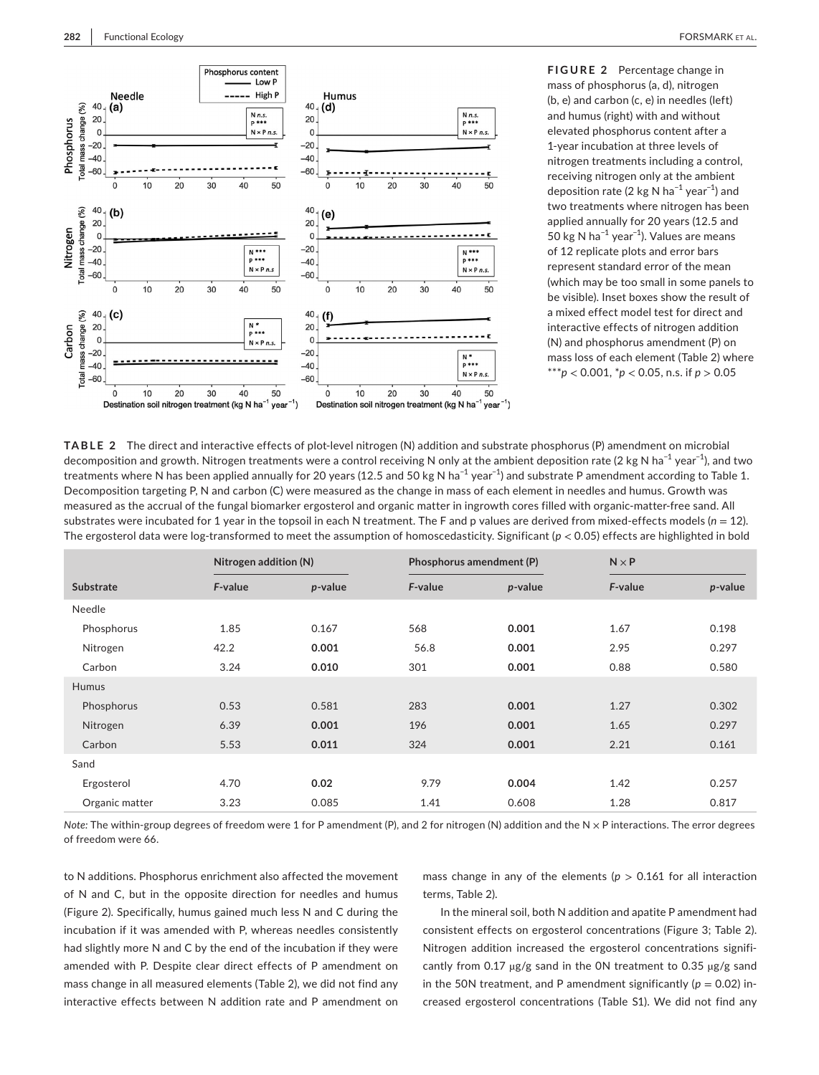

**FIGURE 2** Percentage change in mass of phosphorus (a, d), nitrogen (b, e) and carbon (c, e) in needles (left) and humus (right) with and without elevated phosphorus content after a 1-year incubation at three levels of nitrogen treatments including a control, receiving nitrogen only at the ambient deposition rate (2 kg N ha−1 year−1) and two treatments where nitrogen has been applied annually for 20 years (12.5 and 50 kg N ha−1 year−1). Values are means of 12 replicate plots and error bars represent standard error of the mean (which may be too small in some panels to be visible). Inset boxes show the result of a mixed effect model test for direct and interactive effects of nitrogen addition (N) and phosphorus amendment (P) on mass loss of each element (Table 2) where \*\*\**p* < 0.001, \**p* < 0.05, n.s. if *p* > 0.05

**TABLE 2** The direct and interactive effects of plot-level nitrogen (N) addition and substrate phosphorus (P) amendment on microbial decomposition and growth. Nitrogen treatments were a control receiving N only at the ambient deposition rate (2 kg N ha<sup>−1</sup> year<sup>−1</sup>), and two treatments where N has been applied annually for 20 years (12.5 and 50 kg N ha<sup>-1</sup> year<sup>-1</sup>) and substrate P amendment according to Table 1. Decomposition targeting P, N and carbon (C) were measured as the change in mass of each element in needles and humus. Growth was measured as the accrual of the fungal biomarker ergosterol and organic matter in ingrowth cores filled with organic-matter-free sand. All substrates were incubated for 1 year in the topsoil in each N treatment. The F and p values are derived from mixed-effects models  $(n = 12)$ . The ergosterol data were log-transformed to meet the assumption of homoscedasticity. Significant (*p* < 0.05) effects are highlighted in bold

|                | Nitrogen addition (N) |         | Phosphorus amendment (P) |         | $N \times P$ |         |
|----------------|-----------------------|---------|--------------------------|---------|--------------|---------|
| Substrate      | F-value               | p-value | F-value                  | p-value | F-value      | p-value |
| Needle         |                       |         |                          |         |              |         |
| Phosphorus     | 1.85                  | 0.167   | 568                      | 0.001   | 1.67         | 0.198   |
| Nitrogen       | 42.2                  | 0.001   | 56.8                     | 0.001   | 2.95         | 0.297   |
| Carbon         | 3.24                  | 0.010   | 301                      | 0.001   | 0.88         | 0.580   |
| <b>Humus</b>   |                       |         |                          |         |              |         |
| Phosphorus     | 0.53                  | 0.581   | 283                      | 0.001   | 1.27         | 0.302   |
| Nitrogen       | 6.39                  | 0.001   | 196                      | 0.001   | 1.65         | 0.297   |
| Carbon         | 5.53                  | 0.011   | 324                      | 0.001   | 2.21         | 0.161   |
| Sand           |                       |         |                          |         |              |         |
| Ergosterol     | 4.70                  | 0.02    | 9.79                     | 0.004   | 1.42         | 0.257   |
| Organic matter | 3.23                  | 0.085   | 1.41                     | 0.608   | 1.28         | 0.817   |

*Note:* The within-group degrees of freedom were 1 for P amendment (P), and 2 for nitrogen (N) addition and the N × P interactions. The error degrees of freedom were 66.

to N additions. Phosphorus enrichment also affected the movement of N and C, but in the opposite direction for needles and humus (Figure 2). Specifically, humus gained much less N and C during the incubation if it was amended with P, whereas needles consistently had slightly more N and C by the end of the incubation if they were amended with P. Despite clear direct effects of P amendment on mass change in all measured elements (Table 2), we did not find any interactive effects between N addition rate and P amendment on

mass change in any of the elements ( $p > 0.161$  for all interaction terms, Table 2).

In the mineral soil, both N addition and apatite P amendment had consistent effects on ergosterol concentrations (Figure 3; Table 2). Nitrogen addition increased the ergosterol concentrations significantly from 0.17  $\mu$ g/g sand in the ON treatment to 0.35  $\mu$ g/g sand in the 50N treatment, and P amendment significantly ( $p = 0.02$ ) increased ergosterol concentrations (Table S1). We did not find any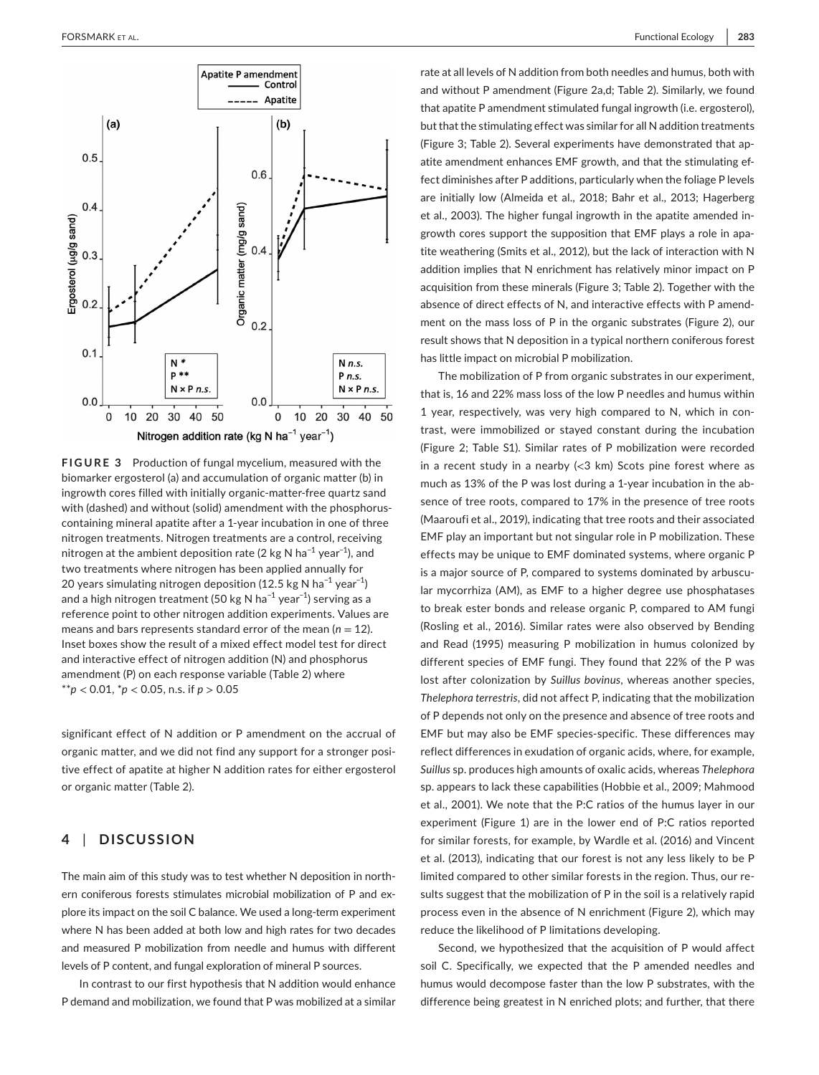

**FIGURE 3** Production of fungal mycelium, measured with the biomarker ergosterol (a) and accumulation of organic matter (b) in ingrowth cores filled with initially organic-matter-free quartz sand with (dashed) and without (solid) amendment with the phosphoruscontaining mineral apatite after a 1-year incubation in one of three nitrogen treatments. Nitrogen treatments are a control, receiving nitrogen at the ambient deposition rate (2 kg N ha<sup>-1</sup> year<sup>-1</sup>), and two treatments where nitrogen has been applied annually for 20 years simulating nitrogen deposition (12.5 kg N ha<sup>-1</sup> year<sup>-1</sup>) and a high nitrogen treatment (50 kg N ha−1 year−1) serving as a reference point to other nitrogen addition experiments. Values are means and bars represents standard error of the mean  $(n = 12)$ . Inset boxes show the result of a mixed effect model test for direct and interactive effect of nitrogen addition (N) and phosphorus amendment (P) on each response variable (Table 2) where \*\**p* < 0.01, \**p* < 0.05, n.s. if *p* > 0.05

significant effect of N addition or P amendment on the accrual of organic matter, and we did not find any support for a stronger positive effect of apatite at higher N addition rates for either ergosterol or organic matter (Table 2).

# **4** | **DISCUSSION**

The main aim of this study was to test whether N deposition in northern coniferous forests stimulates microbial mobilization of P and explore its impact on the soil C balance. We used a long-term experiment where N has been added at both low and high rates for two decades and measured P mobilization from needle and humus with different levels of P content, and fungal exploration of mineral P sources.

In contrast to our first hypothesis that N addition would enhance P demand and mobilization, we found that P was mobilized at a similar rate at all levels of N addition from both needles and humus, both with and without P amendment (Figure 2a,d; Table 2). Similarly, we found that apatite P amendment stimulated fungal ingrowth (i.e. ergosterol), but that the stimulating effect was similar for all N addition treatments (Figure 3; Table 2). Several experiments have demonstrated that apatite amendment enhances EMF growth, and that the stimulating effect diminishes after P additions, particularly when the foliage P levels are initially low (Almeida et al., 2018; Bahr et al., 2013; Hagerberg et al., 2003). The higher fungal ingrowth in the apatite amended ingrowth cores support the supposition that EMF plays a role in apatite weathering (Smits et al., 2012), but the lack of interaction with N addition implies that N enrichment has relatively minor impact on P acquisition from these minerals (Figure 3; Table 2). Together with the absence of direct effects of N, and interactive effects with P amendment on the mass loss of P in the organic substrates (Figure 2), our result shows that N deposition in a typical northern coniferous forest has little impact on microbial P mobilization.

The mobilization of P from organic substrates in our experiment, that is, 16 and 22% mass loss of the low P needles and humus within 1 year, respectively, was very high compared to N, which in contrast, were immobilized or stayed constant during the incubation (Figure 2; Table S1). Similar rates of P mobilization were recorded in a recent study in a nearby  $\ll$ 3 km) Scots pine forest where as much as 13% of the P was lost during a 1-year incubation in the absence of tree roots, compared to 17% in the presence of tree roots (Maaroufi et al., 2019), indicating that tree roots and their associated EMF play an important but not singular role in P mobilization. These effects may be unique to EMF dominated systems, where organic P is a major source of P, compared to systems dominated by arbuscular mycorrhiza (AM), as EMF to a higher degree use phosphatases to break ester bonds and release organic P, compared to AM fungi (Rosling et al., 2016). Similar rates were also observed by Bending and Read (1995) measuring P mobilization in humus colonized by different species of EMF fungi. They found that 22% of the P was lost after colonization by *Suillus bovinus*, whereas another species, *Thelephora terrestris*, did not affect P, indicating that the mobilization of P depends not only on the presence and absence of tree roots and EMF but may also be EMF species-specific. These differences may reflect differences in exudation of organic acids, where, for example, *Suillus* sp. produces high amounts of oxalic acids, whereas *Thelephora* sp. appears to lack these capabilities (Hobbie et al., 2009; Mahmood et al., 2001). We note that the P:C ratios of the humus layer in our experiment (Figure 1) are in the lower end of P:C ratios reported for similar forests, for example, by Wardle et al. (2016) and Vincent et al. (2013), indicating that our forest is not any less likely to be P limited compared to other similar forests in the region. Thus, our results suggest that the mobilization of P in the soil is a relatively rapid process even in the absence of N enrichment (Figure 2), which may reduce the likelihood of P limitations developing.

Second, we hypothesized that the acquisition of P would affect soil C. Specifically, we expected that the P amended needles and humus would decompose faster than the low P substrates, with the difference being greatest in N enriched plots; and further, that there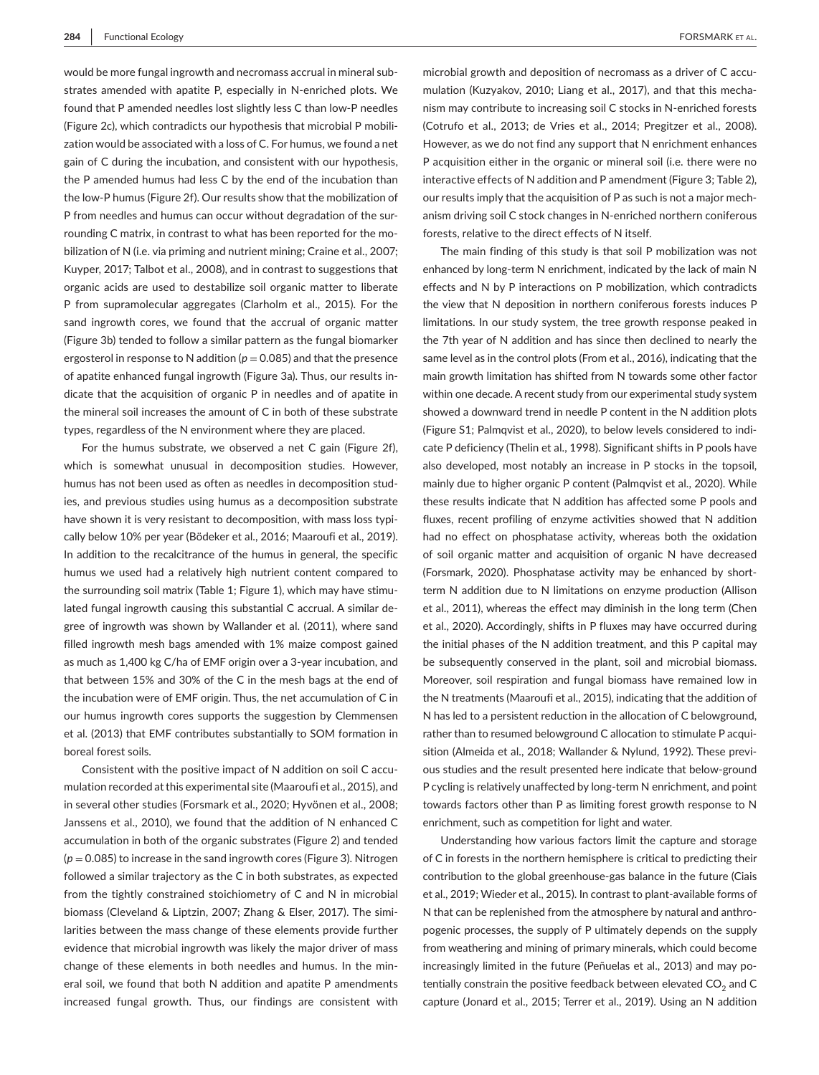would be more fungal ingrowth and necromass accrual in mineral substrates amended with apatite P, especially in N-enriched plots. We found that P amended needles lost slightly less C than low-P needles (Figure 2c), which contradicts our hypothesis that microbial P mobilization would be associated with a loss of C. For humus, we found a net gain of C during the incubation, and consistent with our hypothesis, the P amended humus had less C by the end of the incubation than the low-P humus (Figure 2f). Our results show that the mobilization of P from needles and humus can occur without degradation of the surrounding C matrix, in contrast to what has been reported for the mobilization of N (i.e. via priming and nutrient mining; Craine et al., 2007; Kuyper, 2017; Talbot et al., 2008), and in contrast to suggestions that organic acids are used to destabilize soil organic matter to liberate P from supramolecular aggregates (Clarholm et al., 2015). For the sand ingrowth cores, we found that the accrual of organic matter (Figure 3b) tended to follow a similar pattern as the fungal biomarker ergosterol in response to N addition  $(p = 0.085)$  and that the presence of apatite enhanced fungal ingrowth (Figure 3a). Thus, our results indicate that the acquisition of organic P in needles and of apatite in the mineral soil increases the amount of C in both of these substrate types, regardless of the N environment where they are placed.

For the humus substrate, we observed a net C gain (Figure 2f), which is somewhat unusual in decomposition studies. However, humus has not been used as often as needles in decomposition studies, and previous studies using humus as a decomposition substrate have shown it is very resistant to decomposition, with mass loss typically below 10% per year (Bödeker et al., 2016; Maaroufi et al., 2019). In addition to the recalcitrance of the humus in general, the specific humus we used had a relatively high nutrient content compared to the surrounding soil matrix (Table 1; Figure 1), which may have stimulated fungal ingrowth causing this substantial C accrual. A similar degree of ingrowth was shown by Wallander et al. (2011), where sand filled ingrowth mesh bags amended with 1% maize compost gained as much as 1,400 kg C/ha of EMF origin over a 3-year incubation, and that between 15% and 30% of the C in the mesh bags at the end of the incubation were of EMF origin. Thus, the net accumulation of C in our humus ingrowth cores supports the suggestion by Clemmensen et al. (2013) that EMF contributes substantially to SOM formation in boreal forest soils.

Consistent with the positive impact of N addition on soil C accumulation recorded at this experimental site (Maaroufi et al., 2015), and in several other studies (Forsmark et al., 2020; Hyvönen et al., 2008; Janssens et al., 2010), we found that the addition of N enhanced C accumulation in both of the organic substrates (Figure 2) and tended  $(p = 0.085)$  to increase in the sand ingrowth cores (Figure 3). Nitrogen followed a similar trajectory as the C in both substrates, as expected from the tightly constrained stoichiometry of C and N in microbial biomass (Cleveland & Liptzin, 2007; Zhang & Elser, 2017). The similarities between the mass change of these elements provide further evidence that microbial ingrowth was likely the major driver of mass change of these elements in both needles and humus. In the mineral soil, we found that both N addition and apatite P amendments increased fungal growth. Thus, our findings are consistent with

microbial growth and deposition of necromass as a driver of C accumulation (Kuzyakov, 2010; Liang et al., 2017), and that this mechanism may contribute to increasing soil C stocks in N-enriched forests (Cotrufo et al., 2013; de Vries et al., 2014; Pregitzer et al., 2008). However, as we do not find any support that N enrichment enhances P acquisition either in the organic or mineral soil (i.e. there were no interactive effects of N addition and P amendment (Figure 3; Table 2), our results imply that the acquisition of P as such is not a major mechanism driving soil C stock changes in N-enriched northern coniferous forests, relative to the direct effects of N itself.

The main finding of this study is that soil P mobilization was not enhanced by long-term N enrichment, indicated by the lack of main N effects and N by P interactions on P mobilization, which contradicts the view that N deposition in northern coniferous forests induces P limitations. In our study system, the tree growth response peaked in the 7th year of N addition and has since then declined to nearly the same level as in the control plots (From et al., 2016), indicating that the main growth limitation has shifted from N towards some other factor within one decade. A recent study from our experimental study system showed a downward trend in needle P content in the N addition plots (Figure S1; Palmqvist et al., 2020), to below levels considered to indicate P deficiency (Thelin et al., 1998). Significant shifts in P pools have also developed, most notably an increase in P stocks in the topsoil, mainly due to higher organic P content (Palmqvist et al., 2020). While these results indicate that N addition has affected some P pools and fluxes, recent profiling of enzyme activities showed that N addition had no effect on phosphatase activity, whereas both the oxidation of soil organic matter and acquisition of organic N have decreased (Forsmark, 2020). Phosphatase activity may be enhanced by shortterm N addition due to N limitations on enzyme production (Allison et al., 2011), whereas the effect may diminish in the long term (Chen et al., 2020). Accordingly, shifts in P fluxes may have occurred during the initial phases of the N addition treatment, and this P capital may be subsequently conserved in the plant, soil and microbial biomass. Moreover, soil respiration and fungal biomass have remained low in the N treatments (Maaroufi et al., 2015), indicating that the addition of N has led to a persistent reduction in the allocation of C belowground, rather than to resumed belowground C allocation to stimulate P acquisition (Almeida et al., 2018; Wallander & Nylund, 1992). These previous studies and the result presented here indicate that below-ground P cycling is relatively unaffected by long-term N enrichment, and point towards factors other than P as limiting forest growth response to N enrichment, such as competition for light and water.

Understanding how various factors limit the capture and storage of C in forests in the northern hemisphere is critical to predicting their contribution to the global greenhouse-gas balance in the future (Ciais et al., 2019; Wieder et al., 2015). In contrast to plant-available forms of N that can be replenished from the atmosphere by natural and anthropogenic processes, the supply of P ultimately depends on the supply from weathering and mining of primary minerals, which could become increasingly limited in the future (Peñuelas et al., 2013) and may potentially constrain the positive feedback between elevated  $CO<sub>2</sub>$  and C capture (Jonard et al., 2015; Terrer et al., 2019). Using an N addition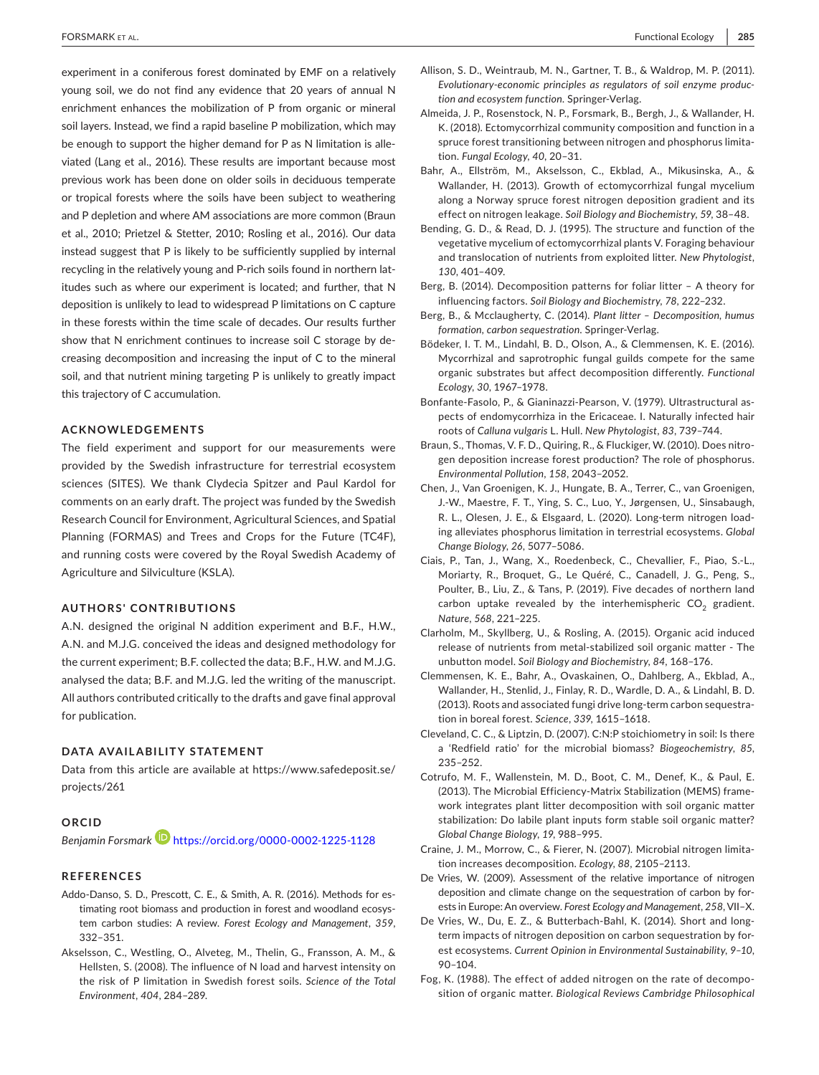experiment in a coniferous forest dominated by EMF on a relatively young soil, we do not find any evidence that 20 years of annual N enrichment enhances the mobilization of P from organic or mineral soil layers. Instead, we find a rapid baseline P mobilization, which may be enough to support the higher demand for P as N limitation is alleviated (Lang et al., 2016). These results are important because most previous work has been done on older soils in deciduous temperate or tropical forests where the soils have been subject to weathering and P depletion and where AM associations are more common (Braun et al., 2010; Prietzel & Stetter, 2010; Rosling et al., 2016). Our data instead suggest that P is likely to be sufficiently supplied by internal recycling in the relatively young and P-rich soils found in northern latitudes such as where our experiment is located; and further, that N deposition is unlikely to lead to widespread P limitations on C capture in these forests within the time scale of decades. Our results further show that N enrichment continues to increase soil C storage by decreasing decomposition and increasing the input of C to the mineral soil, and that nutrient mining targeting P is unlikely to greatly impact this trajectory of C accumulation.

## **ACKNOWLEDGEMENTS**

The field experiment and support for our measurements were provided by the Swedish infrastructure for terrestrial ecosystem sciences (SITES). We thank Clydecia Spitzer and Paul Kardol for comments on an early draft. The project was funded by the Swedish Research Council for Environment, Agricultural Sciences, and Spatial Planning (FORMAS) and Trees and Crops for the Future (TC4F), and running costs were covered by the Royal Swedish Academy of Agriculture and Silviculture (KSLA).

#### **AUTHORS' CONTRIBUTIONS**

A.N. designed the original N addition experiment and B.F., H.W., A.N. and M.J.G. conceived the ideas and designed methodology for the current experiment; B.F. collected the data; B.F., H.W. and M.J.G. analysed the data; B.F. and M.J.G. led the writing of the manuscript. All authors contributed critically to the drafts and gave final approval for publication.

#### **DATA AVAILABILITY STATEMENT**

Data from this article are available at [https://www.safedeposit.se/](https://www.safedeposit.se/projects/261) [projects/261](https://www.safedeposit.se/projects/261)

#### **ORCID**

Benjamin Forsmark<sup>D</sup> <https://orcid.org/0000-0002-1225-1128>

## **REFERENCES**

- Addo-Danso, S. D., Prescott, C. E., & Smith, A. R. (2016). Methods for estimating root biomass and production in forest and woodland ecosystem carbon studies: A review. *Forest Ecology and Management*, *359*, 332–351.
- Akselsson, C., Westling, O., Alveteg, M., Thelin, G., Fransson, A. M., & Hellsten, S. (2008). The influence of N load and harvest intensity on the risk of P limitation in Swedish forest soils. *Science of the Total Environment*, *404*, 284–289.
- Allison, S. D., Weintraub, M. N., Gartner, T. B., & Waldrop, M. P. (2011). *Evolutionary-economic principles as regulators of soil enzyme production and ecosystem function*. Springer-Verlag.
- Almeida, J. P., Rosenstock, N. P., Forsmark, B., Bergh, J., & Wallander, H. K. (2018). Ectomycorrhizal community composition and function in a spruce forest transitioning between nitrogen and phosphorus limitation. *Fungal Ecology*, *40*, 20–31.
- Bahr, A., Ellström, M., Akselsson, C., Ekblad, A., Mikusinska, A., & Wallander, H. (2013). Growth of ectomycorrhizal fungal mycelium along a Norway spruce forest nitrogen deposition gradient and its effect on nitrogen leakage. *Soil Biology and Biochemistry*, *59*, 38–48.
- Bending, G. D., & Read, D. J. (1995). The structure and function of the vegetative mycelium of ectomycorrhizal plants V. Foraging behaviour and translocation of nutrients from exploited litter. *New Phytologist*, *130*, 401–409.
- Berg, B. (2014). Decomposition patterns for foliar litter A theory for influencing factors. *Soil Biology and Biochemistry*, *78*, 222–232.
- Berg, B., & Mcclaugherty, C. (2014). *Plant litter Decomposition, humus formation, carbon sequestration*. Springer-Verlag.
- Bödeker, I. T. M., Lindahl, B. D., Olson, A., & Clemmensen, K. E. (2016). Mycorrhizal and saprotrophic fungal guilds compete for the same organic substrates but affect decomposition differently. *Functional Ecology*, *30*, 1967–1978.
- Bonfante-Fasolo, P., & Gianinazzi-Pearson, V. (1979). Ultrastructural aspects of endomycorrhiza in the Ericaceae. I. Naturally infected hair roots of *Calluna vulgaris* L. Hull. *New Phytologist*, *83*, 739–744.
- Braun, S., Thomas, V. F. D., Quiring, R., & Fluckiger, W. (2010). Does nitrogen deposition increase forest production? The role of phosphorus. *Environmental Pollution*, *158*, 2043–2052.
- Chen, J., Van Groenigen, K. J., Hungate, B. A., Terrer, C., van Groenigen, J.-W., Maestre, F. T., Ying, S. C., Luo, Y., Jørgensen, U., Sinsabaugh, R. L., Olesen, J. E., & Elsgaard, L. (2020). Long-term nitrogen loading alleviates phosphorus limitation in terrestrial ecosystems. *Global Change Biology*, *26*, 5077–5086.
- Ciais, P., Tan, J., Wang, X., Roedenbeck, C., Chevallier, F., Piao, S.-L., Moriarty, R., Broquet, G., Le Quéré, C., Canadell, J. G., Peng, S., Poulter, B., Liu, Z., & Tans, P. (2019). Five decades of northern land carbon uptake revealed by the interhemispheric  $CO<sub>2</sub>$  gradient. *Nature*, *568*, 221–225.
- Clarholm, M., Skyllberg, U., & Rosling, A. (2015). Organic acid induced release of nutrients from metal-stabilized soil organic matter - The unbutton model. *Soil Biology and Biochemistry*, *84*, 168–176.
- Clemmensen, K. E., Bahr, A., Ovaskainen, O., Dahlberg, A., Ekblad, A., Wallander, H., Stenlid, J., Finlay, R. D., Wardle, D. A., & Lindahl, B. D. (2013). Roots and associated fungi drive long-term carbon sequestration in boreal forest. *Science*, *339*, 1615–1618.
- Cleveland, C. C., & Liptzin, D. (2007). C:N:P stoichiometry in soil: Is there a 'Redfield ratio' for the microbial biomass? *Biogeochemistry*, *85*, 235–252.
- Cotrufo, M. F., Wallenstein, M. D., Boot, C. M., Denef, K., & Paul, E. (2013). The Microbial Efficiency-Matrix Stabilization (MEMS) framework integrates plant litter decomposition with soil organic matter stabilization: Do labile plant inputs form stable soil organic matter? *Global Change Biology*, *19*, 988–995.
- Craine, J. M., Morrow, C., & Fierer, N. (2007). Microbial nitrogen limitation increases decomposition. *Ecology*, *88*, 2105–2113.
- De Vries, W. (2009). Assessment of the relative importance of nitrogen deposition and climate change on the sequestration of carbon by forests in Europe: An overview. *Forest Ecology and Management*, *258*, VII–X.
- De Vries, W., Du, E. Z., & Butterbach-Bahl, K. (2014). Short and longterm impacts of nitrogen deposition on carbon sequestration by forest ecosystems. *Current Opinion in Environmental Sustainability*, *9–10*, 90–104.
- Fog, K. (1988). The effect of added nitrogen on the rate of decomposition of organic matter. *Biological Reviews Cambridge Philosophical*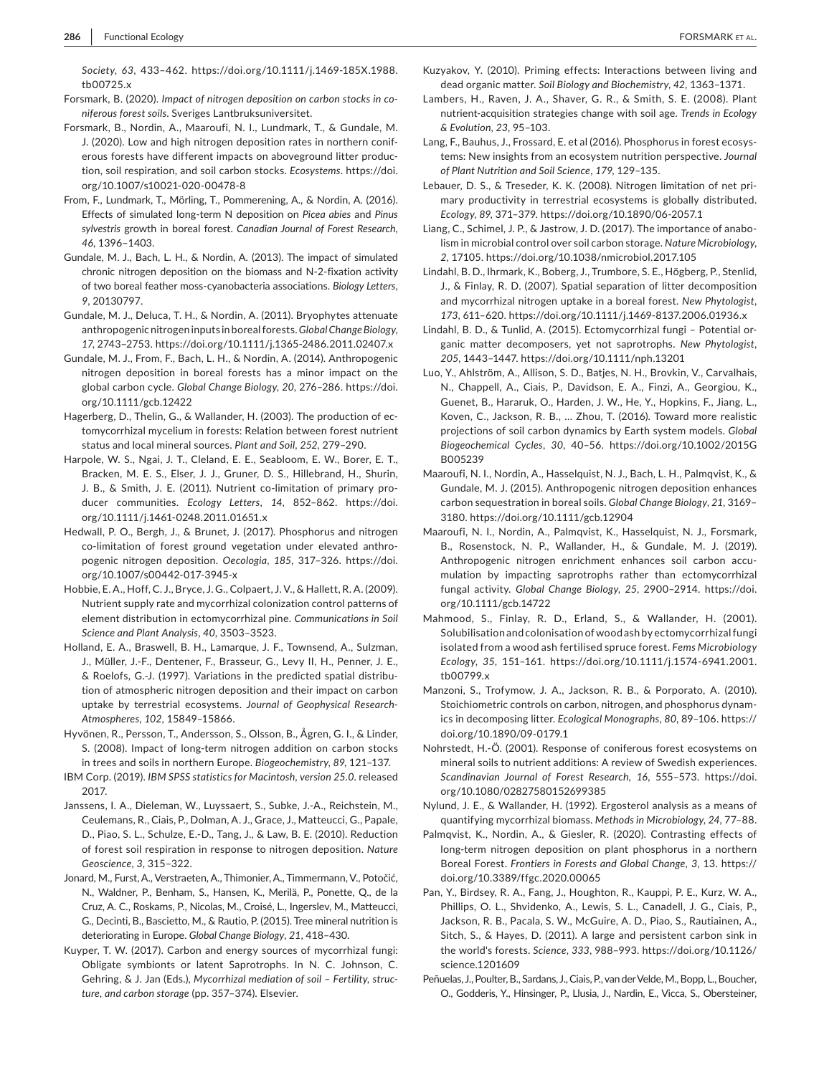*Society*, *63*, 433–462. [https://doi.org/10.1111/j.1469-185X.1988.](https://doi.org/10.1111/j.1469-185X.1988.tb00725.x) [tb00725.x](https://doi.org/10.1111/j.1469-185X.1988.tb00725.x)

- Forsmark, B. (2020). *Impact of nitrogen deposition on carbon stocks in coniferous forest soils*. Sveriges Lantbruksuniversitet.
- Forsmark, B., Nordin, A., Maaroufi, N. I., Lundmark, T., & Gundale, M. J. (2020). Low and high nitrogen deposition rates in northern coniferous forests have different impacts on aboveground litter production, soil respiration, and soil carbon stocks. *Ecosystems*. [https://doi.](https://doi.org/10.1007/s10021-020-00478-8) [org/10.1007/s10021-020-00478-8](https://doi.org/10.1007/s10021-020-00478-8)
- From, F., Lundmark, T., Mörling, T., Pommerening, A., & Nordin, A. (2016). Effects of simulated long-term N deposition on *Picea abies* and *Pinus sylvestris* growth in boreal forest. *Canadian Journal of Forest Research*, *46*, 1396–1403.
- Gundale, M. J., Bach, L. H., & Nordin, A. (2013). The impact of simulated chronic nitrogen deposition on the biomass and N-2-fixation activity of two boreal feather moss-cyanobacteria associations. *Biology Letters*, *9*, 20130797.
- Gundale, M. J., Deluca, T. H., & Nordin, A. (2011). Bryophytes attenuate anthropogenic nitrogen inputs in boreal forests. *Global Change Biology*, *17*, 2743–2753.<https://doi.org/10.1111/j.1365-2486.2011.02407.x>
- Gundale, M. J., From, F., Bach, L. H., & Nordin, A. (2014). Anthropogenic nitrogen deposition in boreal forests has a minor impact on the global carbon cycle. *Global Change Biology*, *20*, 276–286. [https://doi.](https://doi.org/10.1111/gcb.12422) [org/10.1111/gcb.12422](https://doi.org/10.1111/gcb.12422)
- Hagerberg, D., Thelin, G., & Wallander, H. (2003). The production of ectomycorrhizal mycelium in forests: Relation between forest nutrient status and local mineral sources. *Plant and Soil*, *252*, 279–290.
- Harpole, W. S., Ngai, J. T., Cleland, E. E., Seabloom, E. W., Borer, E. T., Bracken, M. E. S., Elser, J. J., Gruner, D. S., Hillebrand, H., Shurin, J. B., & Smith, J. E. (2011). Nutrient co-limitation of primary producer communities. *Ecology Letters*, *14*, 852–862. [https://doi.](https://doi.org/10.1111/j.1461-0248.2011.01651.x) [org/10.1111/j.1461-0248.2011.01651.x](https://doi.org/10.1111/j.1461-0248.2011.01651.x)
- Hedwall, P. O., Bergh, J., & Brunet, J. (2017). Phosphorus and nitrogen co-limitation of forest ground vegetation under elevated anthropogenic nitrogen deposition. *Oecologia*, *185*, 317–326. [https://doi.](https://doi.org/10.1007/s00442-017-3945-x) [org/10.1007/s00442-017-3945-x](https://doi.org/10.1007/s00442-017-3945-x)
- Hobbie, E. A., Hoff, C. J., Bryce, J. G., Colpaert, J. V., & Hallett, R. A. (2009). Nutrient supply rate and mycorrhizal colonization control patterns of element distribution in ectomycorrhizal pine. *Communications in Soil Science and Plant Analysis*, *40*, 3503–3523.
- Holland, E. A., Braswell, B. H., Lamarque, J. F., Townsend, A., Sulzman, J., Müller, J.-F., Dentener, F., Brasseur, G., Levy II, H., Penner, J. E., & Roelofs, G.-J. (1997). Variations in the predicted spatial distribution of atmospheric nitrogen deposition and their impact on carbon uptake by terrestrial ecosystems. *Journal of Geophysical Research-Atmospheres*, *102*, 15849–15866.
- Hyvönen, R., Persson, T., Andersson, S., Olsson, B., Ågren, G. I., & Linder, S. (2008). Impact of long-term nitrogen addition on carbon stocks in trees and soils in northern Europe. *Biogeochemistry*, *89*, 121–137.
- IBM Corp. (2019). *IBM SPSS statistics for Macintosh, version 25.0*. released 2017.
- Janssens, I. A., Dieleman, W., Luyssaert, S., Subke, J.-A., Reichstein, M., Ceulemans, R., Ciais, P., Dolman, A. J., Grace, J., Matteucci, G., Papale, D., Piao, S. L., Schulze, E.-D., Tang, J., & Law, B. E. (2010). Reduction of forest soil respiration in response to nitrogen deposition. *Nature Geoscience*, *3*, 315–322.
- Jonard, M., Furst, A., Verstraeten, A., Thimonier, A., Timmermann, V., Potočić, N., Waldner, P., Benham, S., Hansen, K., Merilä, P., Ponette, Q., de la Cruz, A. C., Roskams, P., Nicolas, M., Croisé, L., Ingerslev, M., Matteucci, G., Decinti, B., Bascietto, M., & Rautio, P. (2015). Tree mineral nutrition is deteriorating in Europe. *Global Change Biology*, *21*, 418–430.
- Kuyper, T. W. (2017). Carbon and energy sources of mycorrhizal fungi: Obligate symbionts or latent Saprotrophs. In N. C. Johnson, C. Gehring, & J. Jan (Eds.), *Mycorrhizal mediation of soil – Fertility, structure, and carbon storage* (pp. 357–374). Elsevier.
- Kuzyakov, Y. (2010). Priming effects: Interactions between living and dead organic matter. *Soil Biology and Biochemistry*, *42*, 1363–1371.
- Lambers, H., Raven, J. A., Shaver, G. R., & Smith, S. E. (2008). Plant nutrient-acquisition strategies change with soil age. *Trends in Ecology & Evolution*, *23*, 95–103.
- Lang, F., Bauhus, J., Frossard, E. et al (2016). Phosphorus in forest ecosystems: New insights from an ecosystem nutrition perspective. *Journal of Plant Nutrition and Soil Science*, *179*, 129–135.
- Lebauer, D. S., & Treseder, K. K. (2008). Nitrogen limitation of net primary productivity in terrestrial ecosystems is globally distributed. *Ecology*, *89*, 371–379.<https://doi.org/10.1890/06-2057.1>
- Liang, C., Schimel, J. P., & Jastrow, J. D. (2017). The importance of anabolism in microbial control over soil carbon storage. *Nature Microbiology*, *2*, 17105. <https://doi.org/10.1038/nmicrobiol.2017.105>
- Lindahl, B. D., Ihrmark, K., Boberg, J., Trumbore, S. E., Högberg, P., Stenlid, J., & Finlay, R. D. (2007). Spatial separation of litter decomposition and mycorrhizal nitrogen uptake in a boreal forest. *New Phytologist*, *173*, 611–620.<https://doi.org/10.1111/j.1469-8137.2006.01936.x>
- Lindahl, B. D., & Tunlid, A. (2015). Ectomycorrhizal fungi Potential organic matter decomposers, yet not saprotrophs. *New Phytologist*, *205*, 1443–1447. <https://doi.org/10.1111/nph.13201>
- Luo, Y., Ahlström, A., Allison, S. D., Batjes, N. H., Brovkin, V., Carvalhais, N., Chappell, A., Ciais, P., Davidson, E. A., Finzi, A., Georgiou, K., Guenet, B., Hararuk, O., Harden, J. W., He, Y., Hopkins, F., Jiang, L., Koven, C., Jackson, R. B., … Zhou, T. (2016). Toward more realistic projections of soil carbon dynamics by Earth system models. *Global Biogeochemical Cycles*, *30*, 40–56. [https://doi.org/10.1002/2015G](https://doi.org/10.1002/2015GB005239) [B005239](https://doi.org/10.1002/2015GB005239)
- Maaroufi, N. I., Nordin, A., Hasselquist, N. J., Bach, L. H., Palmqvist, K., & Gundale, M. J. (2015). Anthropogenic nitrogen deposition enhances carbon sequestration in boreal soils. *Global Change Biology*, *21*, 3169– 3180. <https://doi.org/10.1111/gcb.12904>
- Maaroufi, N. I., Nordin, A., Palmqvist, K., Hasselquist, N. J., Forsmark, B., Rosenstock, N. P., Wallander, H., & Gundale, M. J. (2019). Anthropogenic nitrogen enrichment enhances soil carbon accumulation by impacting saprotrophs rather than ectomycorrhizal fungal activity. *Global Change Biology*, *25*, 2900–2914. [https://doi.](https://doi.org/10.1111/gcb.14722) [org/10.1111/gcb.14722](https://doi.org/10.1111/gcb.14722)
- Mahmood, S., Finlay, R. D., Erland, S., & Wallander, H. (2001). Solubilisation and colonisation of wood ash by ectomycorrhizal fungi isolated from a wood ash fertilised spruce forest. *Fems Microbiology Ecology*, *35*, 151–161. [https://doi.org/10.1111/j.1574-6941.2001.](https://doi.org/10.1111/j.1574-6941.2001.tb00799.x) [tb00799.x](https://doi.org/10.1111/j.1574-6941.2001.tb00799.x)
- Manzoni, S., Trofymow, J. A., Jackson, R. B., & Porporato, A. (2010). Stoichiometric controls on carbon, nitrogen, and phosphorus dynamics in decomposing litter. *Ecological Monographs*, *80*, 89–106. [https://](https://doi.org/10.1890/09-0179.1) [doi.org/10.1890/09-0179.1](https://doi.org/10.1890/09-0179.1)
- Nohrstedt, H.-Ö. (2001). Response of coniferous forest ecosystems on mineral soils to nutrient additions: A review of Swedish experiences. *Scandinavian Journal of Forest Research*, *16*, 555–573. [https://doi.](https://doi.org/10.1080/02827580152699385) [org/10.1080/02827580152699385](https://doi.org/10.1080/02827580152699385)
- Nylund, J. E., & Wallander, H. (1992). Ergosterol analysis as a means of quantifying mycorrhizal biomass. *Methods in Microbiology*, *24*, 77–88.
- Palmqvist, K., Nordin, A., & Giesler, R. (2020). Contrasting effects of long-term nitrogen deposition on plant phosphorus in a northern Boreal Forest. *Frontiers in Forests and Global Change*, *3*, 13. [https://](https://doi.org/10.3389/ffgc.2020.00065) [doi.org/10.3389/ffgc.2020.00065](https://doi.org/10.3389/ffgc.2020.00065)
- Pan, Y., Birdsey, R. A., Fang, J., Houghton, R., Kauppi, P. E., Kurz, W. A., Phillips, O. L., Shvidenko, A., Lewis, S. L., Canadell, J. G., Ciais, P., Jackson, R. B., Pacala, S. W., McGuire, A. D., Piao, S., Rautiainen, A., Sitch, S., & Hayes, D. (2011). A large and persistent carbon sink in the world's forests. *Science*, *333*, 988–993. [https://doi.org/10.1126/](https://doi.org/10.1126/science.1201609) [science.1201609](https://doi.org/10.1126/science.1201609)
- Peñuelas, J., Poulter, B., Sardans, J., Ciais, P., van der Velde, M., Bopp, L., Boucher, O., Godderis, Y., Hinsinger, P., Llusia, J., Nardin, E., Vicca, S., Obersteiner,